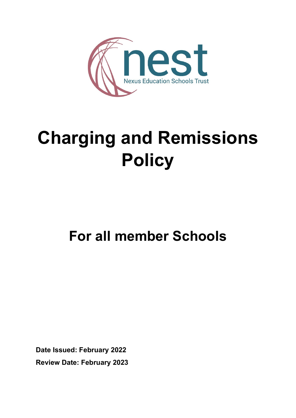

# **Charging and Remissions Policy**

# **For all member Schools**

**Date Issued: February 2022 Review Date: February 2023**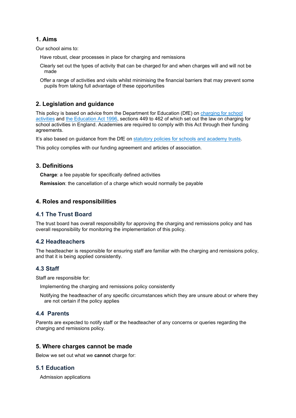# **1. Aims**

Our school aims to:

Have robust, clear processes in place for charging and remissions

Clearly set out the types of activity that can be charged for and when charges will and will not be made

Offer a range of activities and visits whilst minimising the financial barriers that may prevent some pupils from taking full advantage of these opportunities

# **2. Legislation and guidance**

This policy is based on advice from the Department for Education (DfE) on [charging for school](https://www.gov.uk/government/publications/charging-for-school-activities)  [activities](https://www.gov.uk/government/publications/charging-for-school-activities) and [the Education Act 1996,](http://www.legislation.gov.uk/ukpga/1996/56/part/VI/chapter/III) sections 449 to 462 of which set out the law on charging for school activities in England. Academies are required to comply with this Act through their funding agreements.

It's also based on guidance from the DfE on [statutory policies for schools and academy trusts.](https://www.gov.uk/government/publications/statutory-policies-for-schools-and-academy-trusts/statutory-policies-for-schools-and-academy-trusts)

This policy complies with our funding agreement and articles of association.

#### **3. Definitions**

**Charge**: a fee payable for specifically defined activities

**Remission**: the cancellation of a charge which would normally be payable

# **4. Roles and responsibilities**

#### **4.1 The Trust Board**

The trust board has overall responsibility for approving the charging and remissions policy and has overall responsibility for monitoring the implementation of this policy.

#### **4.2 Headteachers**

The headteacher is responsible for ensuring staff are familiar with the charging and remissions policy, and that it is being applied consistently.

#### **4.3 Staff**

Staff are responsible for:

Implementing the charging and remissions policy consistently

Notifying the headteacher of any specific circumstances which they are unsure about or where they are not certain if the policy applies

# **4.4 Parents**

Parents are expected to notify staff or the headteacher of any concerns or queries regarding the charging and remissions policy.

#### **5. Where charges cannot be made**

Below we set out what we **cannot** charge for:

#### **5.1 Education**

Admission applications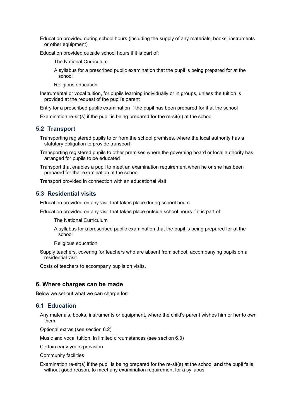Education provided during school hours (including the supply of any materials, books, instruments or other equipment)

Education provided outside school hours if it is part of:

The National Curriculum

A syllabus for a prescribed public examination that the pupil is being prepared for at the school

Religious education

Instrumental or vocal tuition, for pupils learning individually or in groups, unless the tuition is provided at the request of the pupil's parent

Entry for a prescribed public examination if the pupil has been prepared for it at the school

Examination re-sit(s) if the pupil is being prepared for the re-sit(s) at the school

# **5.2 Transport**

Transporting registered pupils to or from the school premises, where the local authority has a statutory obligation to provide transport

Transporting registered pupils to other premises where the governing board or local authority has arranged for pupils to be educated

Transport that enables a pupil to meet an examination requirement when he or she has been prepared for that examination at the school

Transport provided in connection with an educational visit

# **5.3 Residential visits**

Education provided on any visit that takes place during school hours

Education provided on any visit that takes place outside school hours if it is part of:

The National Curriculum

A syllabus for a prescribed public examination that the pupil is being prepared for at the school

Religious education

Supply teachers, covering for teachers who are absent from school, accompanying pupils on a residential visit.

Costs of teachers to accompany pupils on visits.

#### **6. Where charges can be made**

Below we set out what we **can** charge for:

#### **6.1 Education**

Any materials, books, instruments or equipment, where the child's parent wishes him or her to own them

Optional extras (see section 6.2)

Music and vocal tuition, in limited circumstances (see section 6.3)

Certain early years provision

Community facilities

Examination re-sit(s) if the pupil is being prepared for the re-sit(s) at the school **and** the pupil fails, without good reason, to meet any examination requirement for a syllabus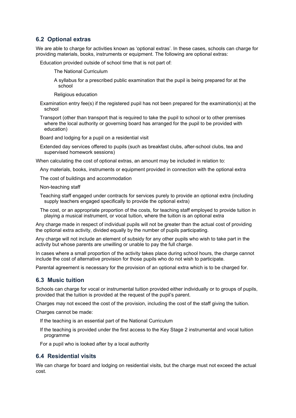# **6.2 Optional extras**

We are able to charge for activities known as 'optional extras'. In these cases, schools can charge for providing materials, books, instruments or equipment. The following are optional extras:

Education provided outside of school time that is not part of:

The National Curriculum

A syllabus for a prescribed public examination that the pupil is being prepared for at the school

Religious education

Examination entry fee(s) if the registered pupil has not been prepared for the examination(s) at the school

Transport (other than transport that is required to take the pupil to school or to other premises where the local authority or governing board has arranged for the pupil to be provided with education)

Board and lodging for a pupil on a residential visit

Extended day services offered to pupils (such as breakfast clubs, after-school clubs, tea and supervised homework sessions)

When calculating the cost of optional extras, an amount may be included in relation to:

Any materials, books, instruments or equipment provided in connection with the optional extra

The cost of buildings and accommodation

Non-teaching staff

Teaching staff engaged under contracts for services purely to provide an optional extra (including supply teachers engaged specifically to provide the optional extra)

The cost, or an appropriate proportion of the costs, for teaching staff employed to provide tuition in playing a musical instrument, or vocal tuition, where the tuition is an optional extra

Any charge made in respect of individual pupils will not be greater than the actual cost of providing the optional extra activity, divided equally by the number of pupils participating.

Any charge will not include an element of subsidy for any other pupils who wish to take part in the activity but whose parents are unwilling or unable to pay the full charge.

In cases where a small proportion of the activity takes place during school hours, the charge cannot include the cost of alternative provision for those pupils who do not wish to participate.

Parental agreement is necessary for the provision of an optional extra which is to be charged for.

#### **6.3 Music tuition**

Schools can charge for vocal or instrumental tuition provided either individually or to groups of pupils, provided that the tuition is provided at the request of the pupil's parent.

Charges may not exceed the cost of the provision, including the cost of the staff giving the tuition.

Charges cannot be made:

- If the teaching is an essential part of the National Curriculum
- If the teaching is provided under the first access to the Key Stage 2 instrumental and vocal tuition programme

For a pupil who is looked after by a local authority

#### **6.4 Residential visits**

We can charge for board and lodging on residential visits, but the charge must not exceed the actual cost.